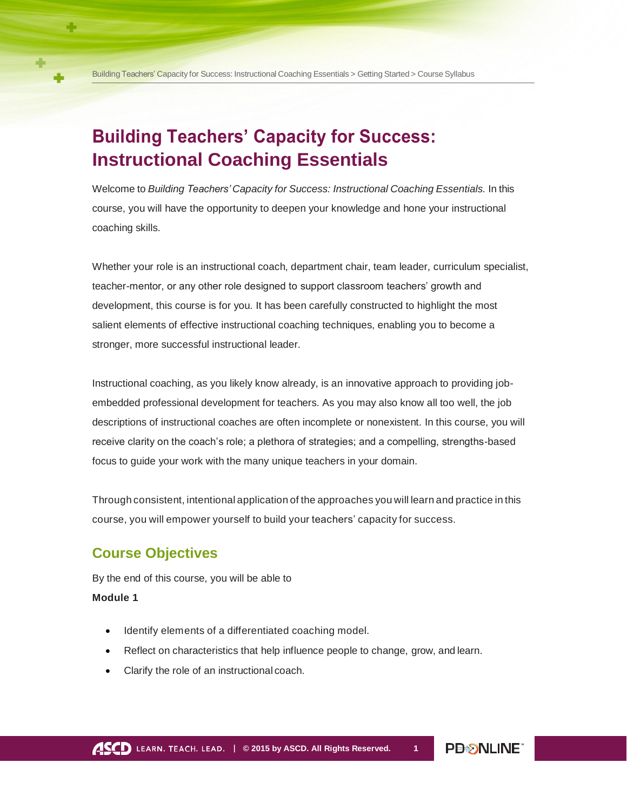# **Building Teachers' Capacity for Success: Instructional Coaching Essentials**

Welcome to *Building Teachers' Capacity for Success: Instructional Coaching Essentials.* In this course, you will have the opportunity to deepen your knowledge and hone your instructional coaching skills.

Whether your role is an instructional coach, department chair, team leader, curriculum specialist, teacher-mentor, or any other role designed to support classroom teachers' growth and development, this course is for you. It has been carefully constructed to highlight the most salient elements of effective instructional coaching techniques, enabling you to become a stronger, more successful instructional leader.

Instructional coaching, as you likely know already, is an innovative approach to providing jobembedded professional development for teachers. As you may also know all too well, the job descriptions of instructional coaches are often incomplete or nonexistent. In this course, you will receive clarity on the coach's role; a plethora of strategies; and a compelling, strengths-based focus to guide your work with the many unique teachers in your domain.

Through consistent, intentional application of the approaches you will learn and practice in this course, you will empower yourself to build your teachers' capacity for success.

# **Course Objectives**

By the end of this course, you will be able to

# **Module 1**

- Identify elements of a differentiated coaching model.
- Reflect on characteristics that help influence people to change, grow, and learn.
- Clarify the role of an instructional coach.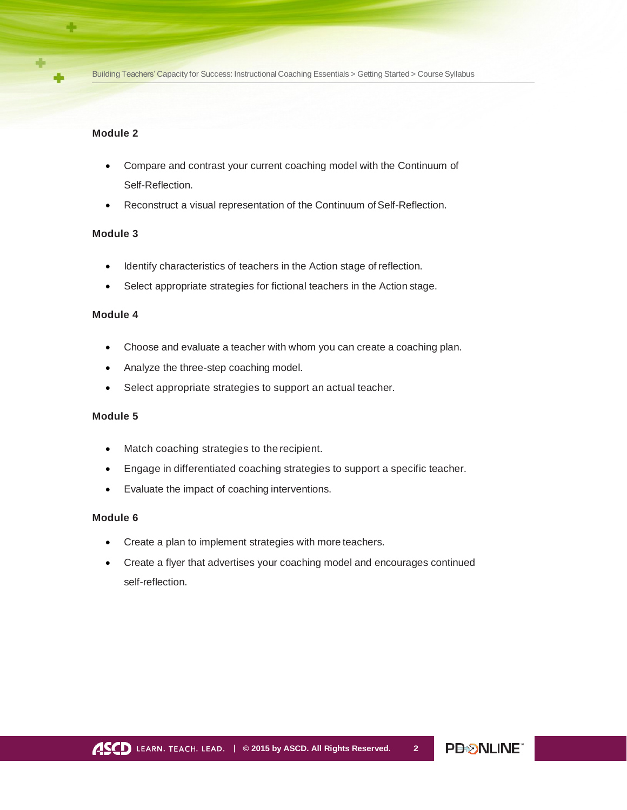#### **Module 2**

- Compare and contrast your current coaching model with the Continuum of Self-Reflection.
- Reconstruct a visual representation of the Continuum of Self-Reflection.

## **Module 3**

- Identify characteristics of teachers in the Action stage of reflection.
- Select appropriate strategies for fictional teachers in the Action stage.

## **Module 4**

- Choose and evaluate a teacher with whom you can create a coaching plan.
- Analyze the three-step coaching model.
- Select appropriate strategies to support an actual teacher.

## **Module 5**

- Match coaching strategies to the recipient.
- Engage in differentiated coaching strategies to support a specific teacher.
- Evaluate the impact of coaching interventions.

## **Module 6**

- Create a plan to implement strategies with more teachers.
- Create a flyer that advertises your coaching model and encourages continued self-reflection.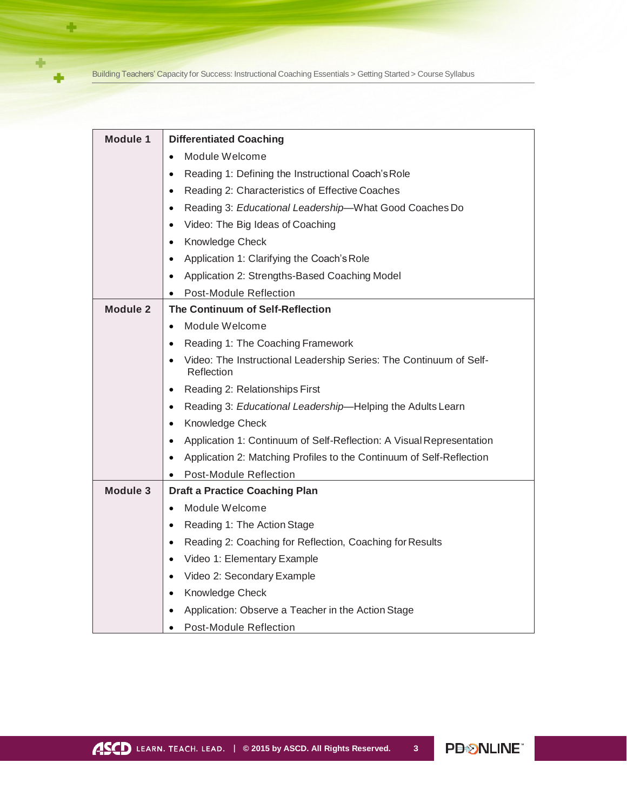Building Teachers' Capacity for Success: Instructional Coaching Essentials > Getting Started > Course Syllabus

÷

 $\ddot{\phantom{1}}$ 

÷

| <b>Module 1</b> | <b>Differentiated Coaching</b>                                                                |
|-----------------|-----------------------------------------------------------------------------------------------|
|                 | Module Welcome<br>$\bullet$                                                                   |
|                 | Reading 1: Defining the Instructional Coach's Role<br>٠                                       |
|                 | Reading 2: Characteristics of Effective Coaches<br>$\bullet$                                  |
|                 | Reading 3: Educational Leadership-What Good Coaches Do<br>$\bullet$                           |
|                 | Video: The Big Ideas of Coaching<br>$\bullet$                                                 |
|                 | Knowledge Check<br>$\bullet$                                                                  |
|                 | Application 1: Clarifying the Coach's Role<br>٠                                               |
|                 | Application 2: Strengths-Based Coaching Model<br>$\bullet$                                    |
|                 | Post-Module Reflection                                                                        |
| <b>Module 2</b> | The Continuum of Self-Reflection                                                              |
|                 | Module Welcome<br>$\bullet$                                                                   |
|                 | Reading 1: The Coaching Framework<br>$\bullet$                                                |
|                 | Video: The Instructional Leadership Series: The Continuum of Self-<br>$\bullet$<br>Reflection |
|                 | Reading 2: Relationships First<br>$\bullet$                                                   |
|                 | Reading 3: Educational Leadership-Helping the Adults Learn<br>$\bullet$                       |
|                 | Knowledge Check<br>$\bullet$                                                                  |
|                 | Application 1: Continuum of Self-Reflection: A Visual Representation<br>$\bullet$             |
|                 | Application 2: Matching Profiles to the Continuum of Self-Reflection<br>$\bullet$             |
|                 | Post-Module Reflection                                                                        |
| Module 3        | <b>Draft a Practice Coaching Plan</b>                                                         |
|                 | Module Welcome<br>$\bullet$                                                                   |
|                 | Reading 1: The Action Stage<br>$\bullet$                                                      |
|                 | Reading 2: Coaching for Reflection, Coaching for Results<br>٠                                 |
|                 | Video 1: Elementary Example<br>$\bullet$                                                      |
|                 | Video 2: Secondary Example<br>$\bullet$                                                       |
|                 | Knowledge Check<br>$\bullet$                                                                  |
|                 | Application: Observe a Teacher in the Action Stage                                            |
|                 | Post-Module Reflection<br>$\bullet$                                                           |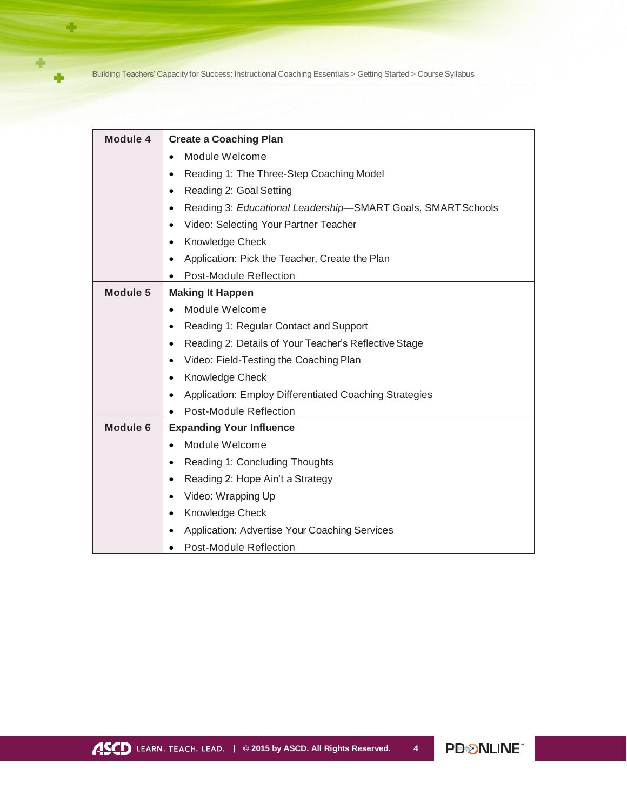Building Teachers' Capacity for Success: Instructional Coaching Essentials > Getting Started > Course Syllabus

÷

 $\ddot{\phantom{1}}$ 

÷

| <b>Module 4</b> | <b>Create a Coaching Plan</b>                                             |
|-----------------|---------------------------------------------------------------------------|
|                 | Module Welcome<br>$\bullet$                                               |
|                 | Reading 1: The Three-Step Coaching Model<br>$\bullet$                     |
|                 | Reading 2: Goal Setting<br>$\bullet$                                      |
|                 | Reading 3: Educational Leadership-SMART Goals, SMART Schools<br>$\bullet$ |
|                 | Video: Selecting Your Partner Teacher<br>$\bullet$                        |
|                 | Knowledge Check<br>$\bullet$                                              |
|                 | Application: Pick the Teacher, Create the Plan<br>$\bullet$               |
|                 | Post-Module Reflection                                                    |
| Module 5        | <b>Making It Happen</b>                                                   |
|                 | Module Welcome<br>$\bullet$                                               |
|                 | Reading 1: Regular Contact and Support<br>$\bullet$                       |
|                 | Reading 2: Details of Your Teacher's Reflective Stage<br>$\bullet$        |
|                 | Video: Field-Testing the Coaching Plan<br>$\bullet$                       |
|                 | Knowledge Check<br>$\bullet$                                              |
|                 | Application: Employ Differentiated Coaching Strategies<br>$\bullet$       |
|                 | Post-Module Reflection                                                    |
| <b>Module 6</b> | <b>Expanding Your Influence</b>                                           |
|                 | Module Welcome<br>$\bullet$                                               |
|                 | Reading 1: Concluding Thoughts<br>٠                                       |
|                 | Reading 2: Hope Ain't a Strategy<br>$\bullet$                             |
|                 | Video: Wrapping Up<br>$\bullet$                                           |
|                 | Knowledge Check<br>$\bullet$                                              |
|                 | Application: Advertise Your Coaching Services<br>$\bullet$                |
|                 | <b>Post-Module Reflection</b>                                             |